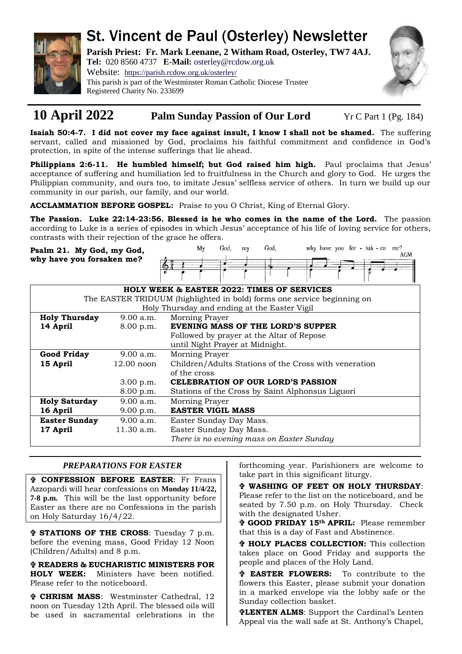

# St. Vincent de Paul (Osterley) Newsletter

**Parish Priest: Fr. Mark Leenane, 2 Witham Road, Osterley, TW7 4AJ. Tel:** 020 8560 4737 **E-Mail:** [osterley@rcdow.org.uk](mailto:osterley@rcdow.org.uk)

Website: <https://parish.rcdow.org.uk/osterley/> This parish is part of the Westminster Roman Catholic Diocese Trustee Registered Charity No. 233699



## **10 April 2022 Palm Sunday Passion of Our Lord** Yr C Part 1 (Pg. 184)

**Isaiah 50:4-7. I did not cover my face against insult, I know I shall not be shamed.** The suffering servant, called and missioned by God, proclaims his faithful commitment and confidence in God's protection, in spite of the intense sufferings that lie ahead.

Philippians 2:6-11. He humbled himself; but God raised him high. Paul proclaims that Jesus' acceptance of suffering and humiliation led to fruitfulness in the Church and glory to God. He urges the Philippian community, and ours too, to imitate Jesus' selfless service of others. In turn we build up our community in our parish, our family, and our world.

**ACCLAMMATION BEFORE GOSPEL:** Praise to you O Christ, King of Eternal Glory.

**The Passion. Luke 22:14-23:56. Blessed is he who comes in the name of the Lord.** The passion according to Luke is a series of episodes in which Jesus' acceptance of his life of loving service for others, contrasts with their rejection of the grace he offers.

**Psalm 21. My God, my God, why have you forsaken me?**

|  | Mv | God, | my | God, |  | why have you for - sak - en me? |
|--|----|------|----|------|--|---------------------------------|
|  |    |      |    |      |  | AGM                             |
|  |    |      |    |      |  | --------                        |
|  |    |      |    |      |  |                                 |
|  |    |      |    |      |  |                                 |

| HOLY WEEK & EASTER 2022: TIMES OF SERVICES                              |              |                                                       |  |  |  |  |  |  |  |  |
|-------------------------------------------------------------------------|--------------|-------------------------------------------------------|--|--|--|--|--|--|--|--|
| The EASTER TRIDUUM (highlighted in bold) forms one service beginning on |              |                                                       |  |  |  |  |  |  |  |  |
| Holy Thursday and ending at the Easter Vigil                            |              |                                                       |  |  |  |  |  |  |  |  |
| <b>Holy Thursday</b>                                                    | 9.00 a.m.    | Morning Prayer                                        |  |  |  |  |  |  |  |  |
| 14 April                                                                | 8.00 p.m.    | <b>EVENING MASS OF THE LORD'S SUPPER</b>              |  |  |  |  |  |  |  |  |
|                                                                         |              | Followed by prayer at the Altar of Repose             |  |  |  |  |  |  |  |  |
|                                                                         |              | until Night Prayer at Midnight.                       |  |  |  |  |  |  |  |  |
| <b>Good Friday</b>                                                      | 9.00 a.m.    | Morning Prayer                                        |  |  |  |  |  |  |  |  |
| 15 April                                                                | $12.00$ noon | Children/Adults Stations of the Cross with veneration |  |  |  |  |  |  |  |  |
|                                                                         |              | of the cross                                          |  |  |  |  |  |  |  |  |
|                                                                         | 3.00 p.m.    | <b>CELEBRATION OF OUR LORD'S PASSION</b>              |  |  |  |  |  |  |  |  |
|                                                                         | 8.00 p.m.    | Stations of the Cross by Saint Alphonsus Liguori      |  |  |  |  |  |  |  |  |
| <b>Holy Saturday</b>                                                    | 9.00 a.m.    | Morning Prayer                                        |  |  |  |  |  |  |  |  |
| 16 April                                                                | 9.00 p.m.    | <b>EASTER VIGIL MASS</b>                              |  |  |  |  |  |  |  |  |
| <b>Easter Sunday</b>                                                    | 9.00 a.m.    | Easter Sunday Day Mass.                               |  |  |  |  |  |  |  |  |
| 17 April                                                                | 11.30 a.m.   | Easter Sunday Day Mass.                               |  |  |  |  |  |  |  |  |
|                                                                         |              | There is no evening mass on Easter Sunday             |  |  |  |  |  |  |  |  |

### *PREPARATIONS FOR EASTER*

 **CONFESSION BEFORE EASTER**: Fr Frans Azzopardi will hear confessions on **Monday 11/4/22, 7-8 p.m.** This will be the last opportunity before Easter as there are no Confessions in the parish on Holy Saturday 16/4/22.

 **STATIONS OF THE CROSS**: Tuesday 7 p.m. before the evening mass, Good Friday 12 Noon (Children/Adults) and 8 p.m.

 **READERS & EUCHARISTIC MINISTERS FOR HOLY WEEK:** Ministers have been notified. Please refer to the noticeboard.

 **CHRISM MASS**: Westminster Cathedral, 12 noon on Tuesday 12th April. The blessed oils will be used in sacramental celebrations in the forthcoming year. Parishioners are welcome to take part in this significant liturgy.

 **WASHING OF FEET ON HOLY THURSDAY**: Please refer to the list on the noticeboard, and be seated by 7.50 p.m. on Holy Thursday. Check with the designated Usher.

 **GOOD FRIDAY 15th APRIL:** Please remember that this is a day of Fast and Abstinence.

 **HOLY PLACES COLLECTION:** This collection takes place on Good Friday and supports the people and places of the Holy Land.

 **EASTER FLOWERS:** To contribute to the flowers this Easter, please submit your donation in a marked envelope via the lobby safe or the Sunday collection basket.

**LENTEN ALMS**: Support the Cardinal's Lenten Appeal via the wall safe at St. Anthony's Chapel,